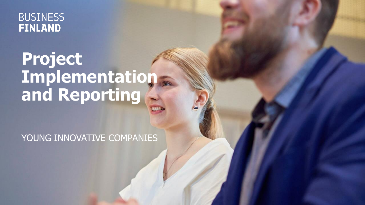**BUSINESS FINLAND** 

## **Project Implementation and Reporting**

YOUNG INNOVATIVE COMPANIES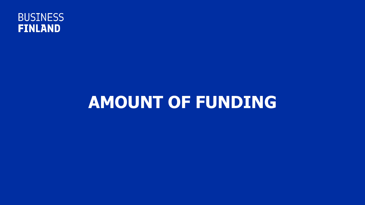

## **AMOUNT OF FUNDING**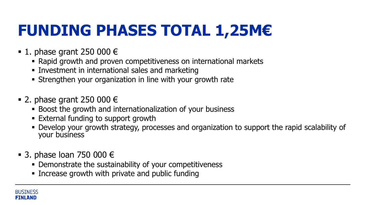## **FUNDING PHASES TOTAL 1,25M€**

- 1. phase grant 250 000  $\epsilon$ 
	- Rapid growth and proven competitiveness on international markets
	- **.** Investment in international sales and marketing
	- **EXT** Strengthen your organization in line with your growth rate
- 2. phase grant 250 000  $\epsilon$ 
	- Boost the growth and internationalization of your business
	- External funding to support growth
	- Develop your growth strategy, processes and organization to support the rapid scalability of your business
- 3. phase loan 750 000  $\in$ 
	- **Demonstrate the sustainability of your competitiveness**
	- **EXEDENT Increase growth with private and public funding**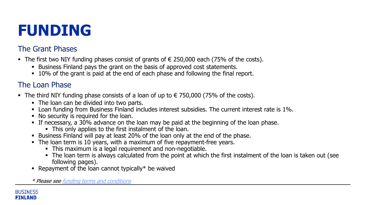#### **FUNDING**

#### The Grant Phases

- The first two NIY funding phases consist of grants of  $∈$  250,000 each (75% of the costs).
	- Business Finland pays the grant on the basis of approved cost statements.
	- 10% of the grant is paid at the end of each phase and following the final report.

#### The Loan Phase

- The third NIY funding phase consists of a loan of up to  $\epsilon$  750,000 (75% of the costs).
	- The loan can be divided into two parts.
	- Loan funding from Business Finland includes interest subsidies. The current interest rate is 1%.
	- No security is required for the loan.
	- **•** If necessary, a 30% advance on the loan may be paid at the beginning of the loan phase.
		- This only applies to the first instalment of the loan.
	- Business Finland will pay at least 20% of the loan only at the end of the phase.
	- The loan term is 10 years, with a maximum of five repayment-free years.
		- **•** This maximum is a legal requirement and non-negotiable.
		- The loan term is always calculated from the point at which the first instalment of the loan is taken out (see following pages).
	- **Repayment of the loan cannot typically \* be waived**

\* Please see [funding terms and conditions](https://www.businessfinland.fi/en/for-finnish-customers/services/funding/guidelines-terms-and-forms/funding-terms) 

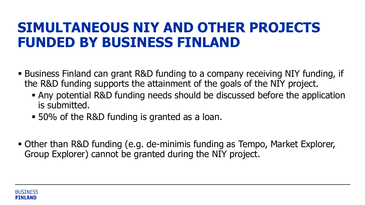#### **SIMULTANEOUS NIY AND OTHER PROJECTS FUNDED BY BUSINESS FINLAND**

- Business Finland can grant R&D funding to a company receiving NIY funding, if the R&D funding supports the attainment of the goals of the NIY project.
	- Any potential R&D funding needs should be discussed before the application is submitted.
	- 50% of the R&D funding is granted as a loan.
- Other than R&D funding (e.g. de-minimis funding as Tempo, Market Explorer, Group Explorer) cannot be granted during the NIY project.

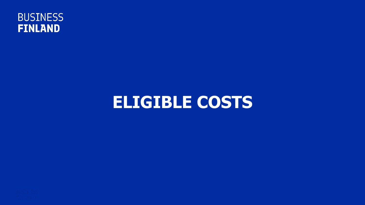

#### **ELIGIBLE COSTS**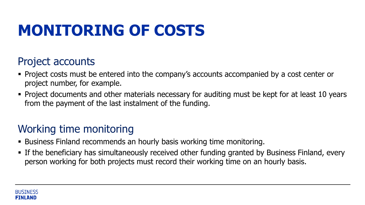### **MONITORING OF COSTS**

#### Project accounts

- **Project costs must be entered into the company's accounts accompanied by a cost center or** project number, for example.
- **Project documents and other materials necessary for auditing must be kept for at least 10 years** from the payment of the last instalment of the funding.

#### Working time monitoring

- **E** Business Finland recommends an hourly basis working time monitoring.
- **Example 20 Finds in Finds** 1 If the beneficiary has simultaneously received other funding granted by Business Finland, every person working for both projects must record their working time on an hourly basis.

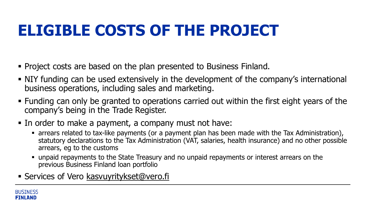#### **ELIGIBLE COSTS OF THE PROJECT**

- Project costs are based on the plan presented to Business Finland.
- NIY funding can be used extensively in the development of the company's international business operations, including sales and marketing.
- Funding can only be granted to operations carried out within the first eight years of the company's being in the Trade Register.
- In order to make a payment, a company must not have:
	- arrears related to tax-like payments (or a payment plan has been made with the Tax Administration), statutory declarations to the Tax Administration (VAT, salaries, health insurance) and no other possible arrears, eg to the customs
	- **Example is example in the State Treasury and no unpaid repayments or interest arrears on the** previous Business Finland loan portfolio
- **EXECT:** Services of Vero [kasvuyritykset@vero.fi](mailto:kasvuyritykset@vero.fi)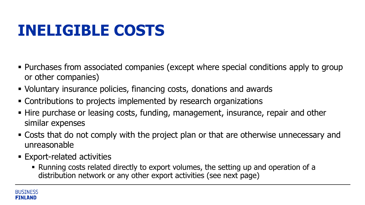#### **INELIGIBLE COSTS**

- Purchases from associated companies (except where special conditions apply to group or other companies)
- Voluntary insurance policies, financing costs, donations and awards
- Contributions to projects implemented by research organizations
- Hire purchase or leasing costs, funding, management, insurance, repair and other similar expenses
- Costs that do not comply with the project plan or that are otherwise unnecessary and unreasonable
- **Export-related activities** 
	- Running costs related directly to export volumes, the setting up and operation of a distribution network or any other export activities (see next page)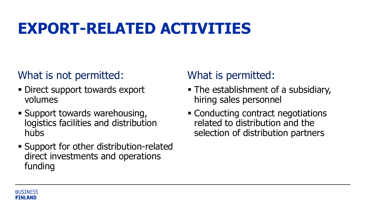#### **EXPORT-RELATED ACTIVITIES**

#### What is not permitted:

- **Direct support towards export** volumes
- **E** Support towards warehousing, logistics facilities and distribution hubs
- **EXA** Support for other distribution-related direct investments and operations funding

#### What is permitted:

- The establishment of a subsidiary, hiring sales personnel
- Conducting contract negotiations related to distribution and the selection of distribution partners

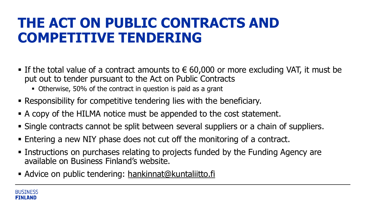#### **THE ACT ON PUBLIC CONTRACTS AND COMPETITIVE TENDERING**

- If the total value of a contract amounts to  $\epsilon$  60,000 or more excluding VAT, it must be put out to tender pursuant to the Act on Public Contracts
	- Otherwise, 50% of the contract in question is paid as a grant
- Responsibility for competitive tendering lies with the beneficiary.
- A copy of the HILMA notice must be appended to the cost statement.
- Single contracts cannot be split between several suppliers or a chain of suppliers.
- Entering a new NIY phase does not cut off the monitoring of a contract.
- **Example 2 Instructions on purchases relating to projects funded by the Funding Agency are** available on Business Finland's website.
- **EXECT:** Advice on public tendering: [hankinnat@kuntaliitto.fi](mailto:hankinnat@kuntaliitto.fi)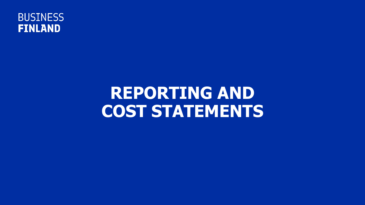

## **REPORTING AND COST STATEMENTS**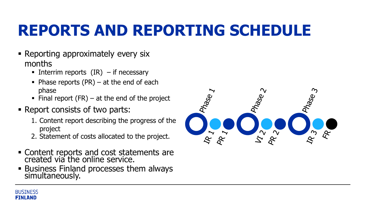## **REPORTS AND REPORTING SCHEDULE**

- Reporting approximately every six months
	- **•** Interrim reports  $(IR)$  if necessary
	- $\blacksquare$  Phase reports (PR) at the end of each phase
	- $\blacksquare$  Final report (FR) at the end of the project
- Report consists of two parts:
	- 1. Content report describing the progress of the project
	- 2. Statement of costs allocated to the project.
- **EXECONTER 1.5 THE CONTER 15 INCR** FIGURE 1.1 CONTER 1.1 CONTERNITY **CONTER** created via the online service.
- **Business Finland processes them always** simultaneously.



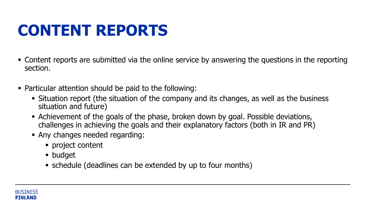#### **CONTENT REPORTS**

- Content reports are submitted via the online service by answering the questions in the reporting section.
- Particular attention should be paid to the following:
	- Situation report (the situation of the company and its changes, as well as the business situation and future)
	- **EXALLEE FIELD EXALLET FOR THE PROTE CONTEXY** Achievement of the goals of the phase, broken down by goal. Possible deviations, challenges in achieving the goals and their explanatory factors (both in IR and PR)
	- Any changes needed regarding:
		- project content
		- budget
		- schedule (deadlines can be extended by up to four months)

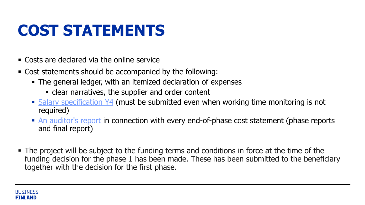## **COST STATEMENTS**

- Costs are declared via the online service
- Cost statements should be accompanied by the following:
	- **The general ledger, with an itemized declaration of expenses** 
		- **Example 2** clear narratives, the supplier and order content
	- **EXA** Salary [specification](https://www.businessfinland.fi/globalassets/finnish-customers/01-funding/08-guidelines--terms/forms/palkkaerittely_y4.xlsx) Y4 (must be submitted even when working time monitoring is not required)
	- **E** [An auditor's](https://www.businessfinland.fi/en/for-finnish-customers/services/funding/guidelines-terms-and-forms/for-auditors) report [i](https://www.businessfinland.fi/suomalaisille-asiakkaille/palvelut/rahoitus/ohjeet-ehdot-ja-lomakkeet/tilintarkastajille)n connection with every end-of-phase cost statement (phase reports and final report)
- The project will be subject to the funding terms and conditions in force at the time of the funding decision for the phase 1 has been made. These has been submitted to the beneficiary together with the decision for the first phase.

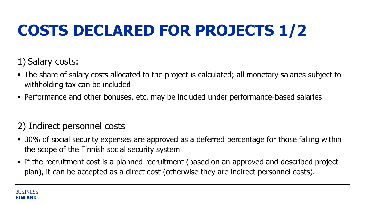## **COSTS DECLARED FOR PROJECTS 1/2**

1) Salary costs:

- The share of salary costs allocated to the project is calculated; all monetary salaries subject to withholding tax can be included
- **Performance and other bonuses, etc. may be included under performance-based salaries**

#### 2) Indirect personnel costs

- 30% of social security expenses are approved as a deferred percentage for those falling within the scope of the Finnish social security system
- **EXT** If the recruitment cost is a planned recruitment (based on an approved and described project plan), it can be accepted as a direct cost (otherwise they are indirect personnel costs).

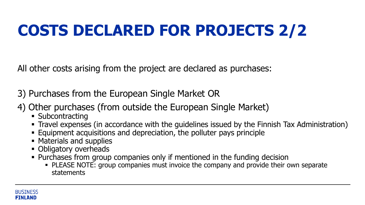## **COSTS DECLARED FOR PROJECTS 2/2**

All other costs arising from the project are declared as purchases:

- 3) Purchases from the European Single Market OR
- 4) Other purchases (from outside the European Single Market)
	- Subcontracting
	- **Travel expenses (in accordance with the guidelines issued by the Finnish Tax Administration)**
	- **Equipment acquisitions and depreciation, the polluter pays principle**
	- Materials and supplies
	- **Obligatory overheads**
	- **Purchases from group companies only if mentioned in the funding decision** 
		- **PLEASE NOTE: group companies must invoice the company and provide their own separate** statements

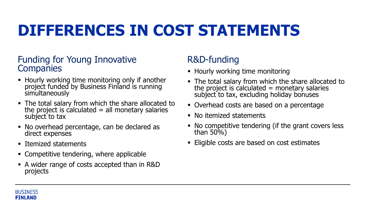#### **DIFFERENCES IN COST STATEMENTS**

#### Funding for Young Innovative **Companies**

- **EXTE:** Hourly working time monitoring only if another project funded by Business Finland is running **simultaneously**
- **The total salary from which the share allocated to** the project is calculated  $=$  all monetary salaries subject to tax
- No overhead percentage, can be declared as direct expenses
- Itemized statements
- Competitive tendering, where applicable
- A wider range of costs accepted than in R&D projects

#### R&D-funding

- Hourly working time monitoring
- **The total salary from which the share allocated to** the project is calculated  $=$  monetary salaries subject to tax, excluding holiday bonuses
- Overhead costs are based on a percentage
- No itemized statements
- No competitive tendering (if the grant covers less than 50%)
- Eligible costs are based on cost estimates

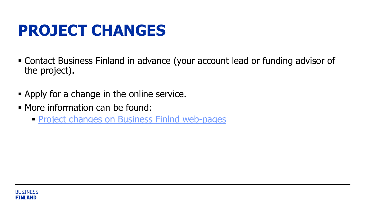#### **PROJECT CHANGES**

- Contact Business Finland in advance (your account lead or funding advisor of the project).
- **Examply for a change in the online service.**
- More information can be found:
	- **[Project changes on Business Finlnd](https://www.businessfinland.fi/en/for-finnish-customers/services/funding/guidelines-terms-and-forms/changes-in-the-project) web-pages**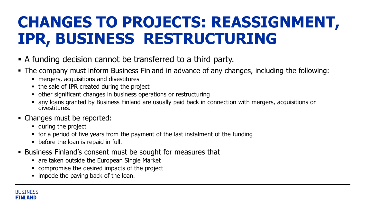#### **CHANGES TO PROJECTS: REASSIGNMENT, IPR, BUSINESS RESTRUCTURING**

- A funding decision cannot be transferred to a third party.
- The company must inform Business Finland in advance of any changes, including the following:
	- mergers, acquisitions and divestitures
	- the sale of IPR created during the project
	- **other significant changes in business operations or restructuring**
	- any loans granted by Business Finland are usually paid back in connection with mergers, acquisitions or divestitures.
- Changes must be reported:
	- during the project
	- for a period of five years from the payment of the last instalment of the funding
	- before the loan is repaid in full.
- Business Finland's consent must be sought for measures that
	- **Example 13 r** are taken outside the European Single Market
	- compromise the desired impacts of the project
	- **.** impede the paying back of the loan.

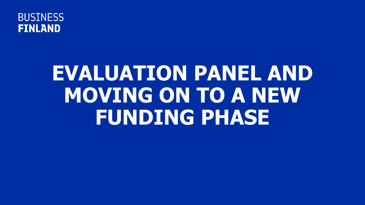

# **EVALUATION PANEL AND MOVING ON TO A NEW FUNDING PHASE**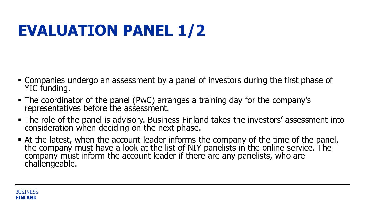### **EVALUATION PANEL 1/2**

- Companies undergo an assessment by a panel of investors during the first phase of YIC funding.
- The coordinator of the panel (PwC) arranges a training day for the company's representatives before the assessment.
- The role of the panel is advisory. Business Finland takes the investors' assessment into consideration when deciding on the next phase.
- At the latest, when the account leader informs the company of the time of the panel, the company must have a look at the list of NIY panelists in the online service. The company must inform the account leader if there are any panelists, who are challengeable.

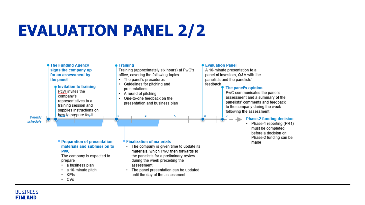#### **EVALUATION PANEL 2/2**



#### **BUSINESS FINLAND**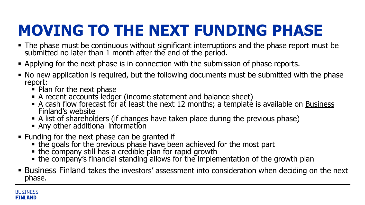## **MOVING TO THE NEXT FUNDING PHASE**

- **The phase must be continuous without significant interruptions and the phase report must be** submitted no later than 1 month after the end of the period.
- **Applying for the next phase is in connection with the submission of phase reports.**
- No new application is required, but the following documents must be submitted with the phase report:
	- Plan for the next phase
	- A recent accounts ledger (income statement and balance sheet)
	- $\blacksquare$  [A cash flow forecast for at least the next 12 months; a template is available on Business](https://www.businessfinland.fi/en/for-finnish-customers/services/funding/young-innovative-company-funding/) Finland's website
	- A list of shareholders (if changes have taken place during the previous phase)
	- Any other additional information
- Funding for the next phase can be granted if
	- . the goals for the previous phase have been achieved for the most part
	- . the company still has a credible plan for rapid growth
	- the company's financial standing allows for the implementation of the growth plan
- **EX Business Finland takes the investors' assessment into consideration when deciding on the next** phase.

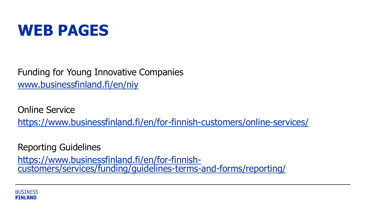

Funding for Young Innovative Companies [www.businessfinland.fi/en/niy](http://www.businessfinland.fi/en/niy)

Online Service <https://www.businessfinland.fi/en/for-finnish-customers/online-services/>

Reporting Guidelines

https://www.businessfinland.fi/en/for-finnish[customers/services/funding/guidelines-terms-and-forms/reporting/](https://www.businessfinland.fi/en/for-finnish-customers/services/funding/guidelines-terms-and-forms/reporting/)

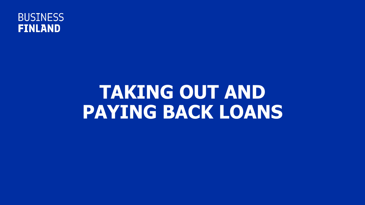

## **TAKING OUT AND PAYING BACK LOANS**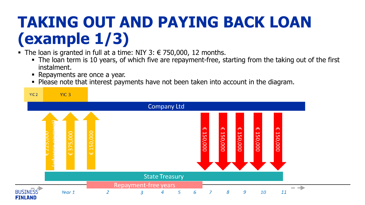#### **TAKING OUT AND PAYING BACK LOAN (example 1/3)**

- The loan is granted in full at a time: NIY 3:  $∈$  750,000, 12 months.
	- The loan term is 10 years, of which five are repayment-free, starting from the taking out of the first instalment.
	- Repayments are once a year.
	- Please note that interest payments have not been taken into account in the diagram.

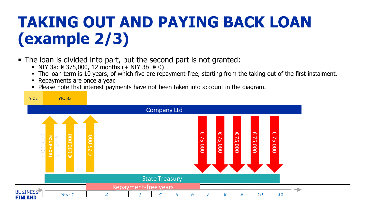## **TAKING OUT AND PAYING BACK LOAN (example 2/3)**

- The loan is divided into part, but the second part is not granted:
	- NIY 3a:  $\in$  375,000, 12 months  $(+$  NIY 3b:  $\in$  0)
	- The loan term is 10 years, of which five are repayment-free, starting from the taking out of the first instalment.
	- **EXECT** Repayments are once a year.
	- Please note that interest payments have not been taken into account in the diagram.